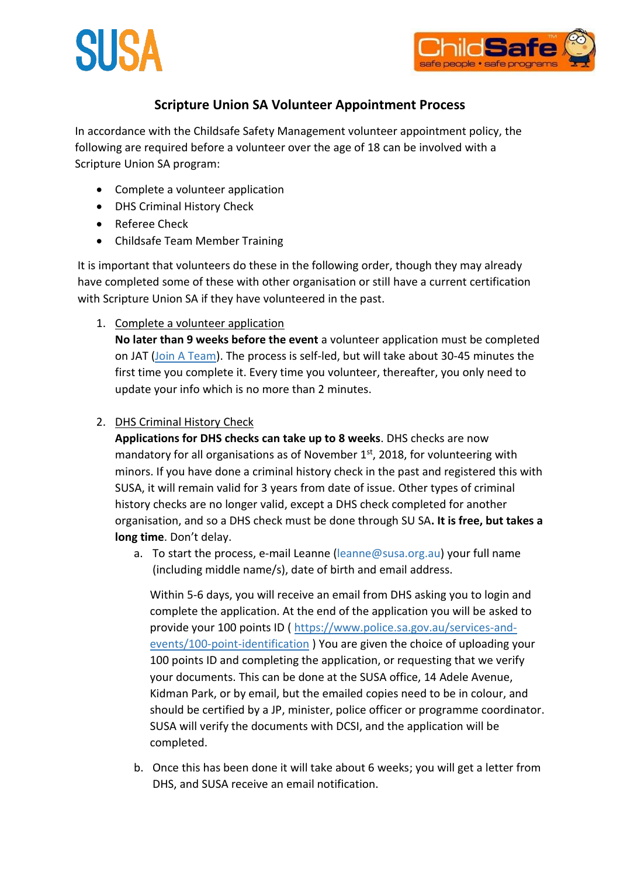



## **Scripture Union SA Volunteer Appointment Process**

In accordance with the Childsafe Safety Management volunteer appointment policy, the following are required before a volunteer over the age of 18 can be involved with a Scripture Union SA program:

- Complete a volunteer application
- DHS Criminal History Check
- Referee Check
- Childsafe Team Member Training

It is important that volunteers do these in the following order, though they may already have completed some of these with other organisation or still have a current certification with Scripture Union SA if they have volunteered in the past.

1. Complete a volunteer application

**No later than 9 weeks before the event** a volunteer application must be completed on JAT [\(Join A Team\)](https://susa.joinateam.org/). The process is self-led, but will take about 30-45 minutes the first time you complete it. Every time you volunteer, thereafter, you only need to update your info which is no more than 2 minutes.

2. DHS Criminal History Check

**Applications for DHS checks can take up to 8 weeks**. DHS checks are now mandatory for all organisations as of November  $1<sup>st</sup>$ , 2018, for volunteering with minors. If you have done a criminal history check in the past and registered this with SUSA, it will remain valid for 3 years from date of issue. Other types of criminal history checks are no longer valid, except a DHS check completed for another organisation, and so a DHS check must be done through SU SA**. It is free, but takes a long time**. Don't delay.

a. To start the process, e-mail Leanne (leanne@susa.org.au) your full name (including middle name/s), date of birth and email address.

Within 5-6 days, you will receive an email from DHS asking you to login and complete the application. At the end of the application you will be asked to provide your 100 points ID ( [https://www.police.sa.gov.au/services-and](https://www.police.sa.gov.au/services-and-events/100-point-identification)[events/100-point-identification](https://www.police.sa.gov.au/services-and-events/100-point-identification) ) You are given the choice of uploading your 100 points ID and completing the application, or requesting that we verify your documents. This can be done at the SUSA office, 14 Adele Avenue, Kidman Park, or by email, but the emailed copies need to be in colour, and should be certified by a JP, minister, police officer or programme coordinator. SUSA will verify the documents with DCSI, and the application will be completed.

b. Once this has been done it will take about 6 weeks; you will get a letter from DHS, and SUSA receive an email notification.